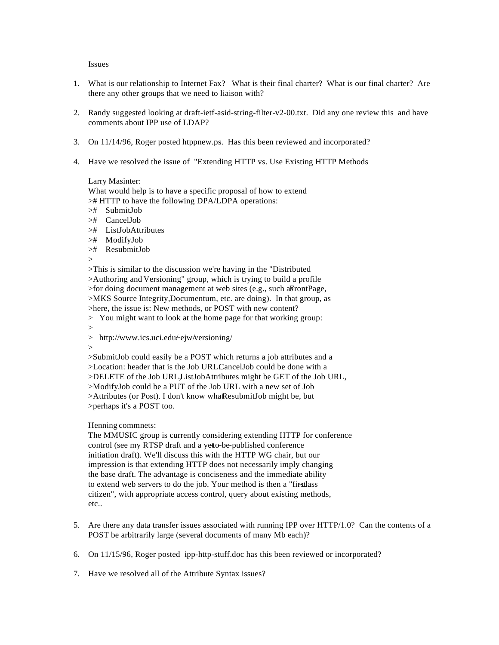Issues

- 1. What is our relationship to Internet Fax? What is their final charter? What is our final charter? Are there any other groups that we need to liaison with?
- 2. Randy suggested looking at draft-ietf-asid-string-filter-v2-00.txt. Did any one review this and have comments about IPP use of LDAP?
- 3. On 11/14/96, Roger posted htppnew.ps. Has this been reviewed and incorporated?
- 4. Have we resolved the issue of "Extending HTTP vs. Use Existing HTTP Methods

### Larry Masinter:

What would help is to have a specific proposal of how to extend

># HTTP to have the following DPA/LDPA operations:

- ># SubmitJob
- ># CancelJob
- ># ListJobAttributes
- ># ModifyJob
- ># ResubmitJob

>

>This is similar to the discussion we're having in the "Distributed >Authoring and Versioning" group, which is trying to build a profile  $>$ for doing document management at web sites (e.g., such as FrontPage, >MKS Source Integrity, Documentum, etc. are doing). In that group, as >here, the issue is: New methods, or POST with new content?

> You might want to look at the home page for that working group: >

- $>$  http://www.ics.uci.edu/ejw/versioning/
- >

>SubmitJob could easily be a POST which returns a job attributes and a >Location: header that is the Job URLCancelJob could be done with a >DELETE of the Job URL, ListJobAttributes might be GET of the Job URL, >ModifyJob could be a PUT of the Job URL with a new set of Job >Attributes (or Post). I don't know what ResubmitJob might be, but >perhaps it's a POST too.

# Henning commnets:

The MMUSIC group is currently considering extending HTTP for conference control (see my RTSP draft and a yet to-be-published conference initiation draft). We'll discuss this with the HTTP WG chair, but our impression is that extending HTTP does not necessarily imply changing the base draft. The advantage is conciseness and the immediate ability to extend web servers to do the job. Your method is then a "firstlass" citizen", with appropriate access control, query about existing methods, etc..

- 5. Are there any data transfer issues associated with running IPP over HTTP/1.0? Can the contents of a POST be arbitrarily large (several documents of many Mb each)?
- 6. On 11/15/96, Roger posted ipp-http-stuff.doc has this been reviewed or incorporated?
- 7. Have we resolved all of the Attribute Syntax issues?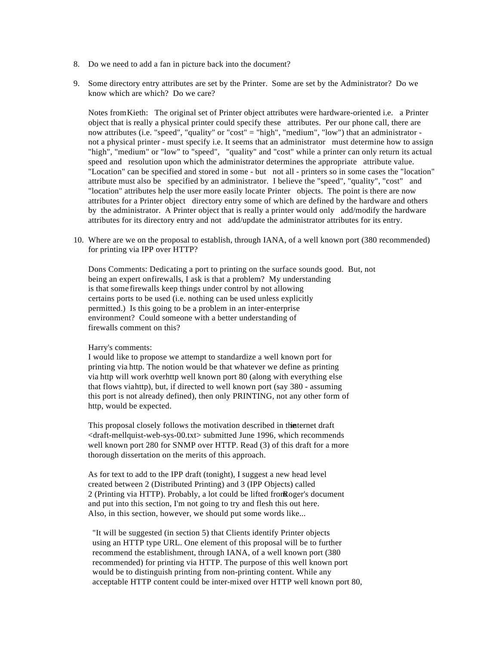- 8. Do we need to add a fan in picture back into the document?
- 9. Some directory entry attributes are set by the Printer. Some are set by the Administrator? Do we know which are which? Do we care?

Notes from Kieth: The original set of Printer object attributes were hardware-oriented i.e. a Printer object that is really a physical printer could specify these attributes. Per our phone call, there are now attributes (i.e. "speed", "quality" or "cost" = "high", "medium", "low") that an administrator not a physical printer - must specify i.e. It seems that an administrator must determine how to assign "high", "medium" or "low" to "speed", "quality" and "cost" while a printer can only return its actual speed and resolution upon which the administrator determines the appropriate attribute value. "Location" can be specified and stored in some - but not all - printers so in some cases the "location" attribute must also be specified by an administrator. I believe the "speed", "quality", "cost" and "location" attributes help the user more easily locate Printer objects. The point is there are now attributes for a Printer object directory entry some of which are defined by the hardware and others by the administrator. A Printer object that is really a printer would only add/modify the hardware attributes for its directory entry and not add/update the administrator attributes for its entry.

10. Where are we on the proposal to establish, through IANA, of a well known port (380 recommended) for printing via IPP over HTTP?

Dons Comments: Dedicating a port to printing on the surface sounds good. But, not being an expert on firewalls, I ask is that a problem? My understanding is that some firewalls keep things under control by not allowing certains ports to be used (i.e. nothing can be used unless explicitly permitted.) Is this going to be a problem in an inter-enterprise environment? Could someone with a better understanding of firewalls comment on this?

# Harry's comments:

I would like to propose we attempt to standardize a well known port for printing via http. The notion would be that whatever we define as printing via http will work over http well known port 80 (along with everything else that flows via http), but, if directed to well known port (say 380 - assuming this port is not already defined), then only PRINTING, not any other form of http, would be expected.

This proposal closely follows the motivation described in the term draft <draft-mellquist-web-sys-00.txt> submitted June 1996, which recommends well known port 280 for SNMP over HTTP. Read (3) of this draft for a more thorough dissertation on the merits of this approach.

As for text to add to the IPP draft (tonight), I suggest a new head level created between 2 (Distributed Printing) and 3 (IPP Objects) called 2 (Printing via HTTP). Probably, a lot could be lifted from Roger's document and put into this section, I'm not going to try and flesh this out here. Also, in this section, however, we should put some words like...

 "It will be suggested (in section 5) that Clients identify Printer objects using an HTTP type URL. One element of this proposal will be to further recommend the establishment, through IANA, of a well known port (380 recommended) for printing via HTTP. The purpose of this well known port would be to distinguish printing from non-printing content. While any acceptable HTTP content could be inter-mixed over HTTP well known port 80,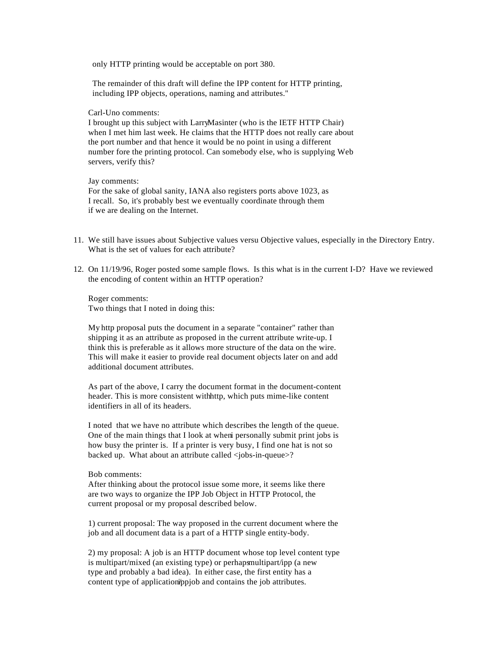only HTTP printing would be acceptable on port 380.

 The remainder of this draft will define the IPP content for HTTP printing, including IPP objects, operations, naming and attributes."

# Carl-Uno comments:

I brought up this subject with Larry Masinter (who is the IETF HTTP Chair) when I met him last week. He claims that the HTTP does not really care about the port number and that hence it would be no point in using a different number fore the printing protocol. Can somebody else, who is supplying Web servers, verify this?

### Jay comments:

For the sake of global sanity, IANA also registers ports above 1023, as I recall. So, it's probably best we eventually coordinate through them if we are dealing on the Internet.

- 11. We still have issues about Subjective values versu Objective values, especially in the Directory Entry. What is the set of values for each attribute?
- 12. On 11/19/96, Roger posted some sample flows. Is this what is in the current I-D? Have we reviewed the encoding of content within an HTTP operation?

Roger comments: Two things that I noted in doing this:

My http proposal puts the document in a separate "container" rather than shipping it as an attribute as proposed in the current attribute write-up. I think this is preferable as it allows more structure of the data on the wire. This will make it easier to provide real document objects later on and add additional document attributes.

As part of the above, I carry the document format in the document-content header. This is more consistent with http, which puts mime-like content identifiers in all of its headers.

I noted that we have no attribute which describes the length of the queue. One of the main things that I look at when personally submit print jobs is how busy the printer is. If a printer is very busy, I find one hat is not so backed up. What about an attribute called <jobs-in-queue>?

### Bob comments:

After thinking about the protocol issue some more, it seems like there are two ways to organize the IPP Job Object in HTTP Protocol, the current proposal or my proposal described below.

1) current proposal: The way proposed in the current document where the job and all document data is a part of a HTTP single entity-body.

2) my proposal: A job is an HTTP document whose top level content type is multipart/mixed (an existing type) or perhaps multipart/ipp (a new type and probably a bad idea). In either case, the first entity has a content type of application/ppjob and contains the job attributes.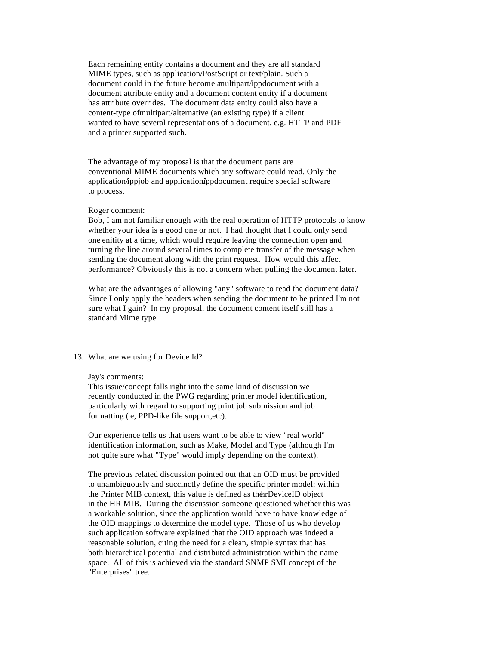Each remaining entity contains a document and they are all standard MIME types, such as application/PostScript or text/plain. Such a document could in the future become a multipart/ippdocument with a document attribute entity and a document content entity if a document has attribute overrides. The document data entity could also have a content-type of multipart/alternative (an existing type) if a client wanted to have several representations of a document, e.g. HTTP and PDF and a printer supported such.

The advantage of my proposal is that the document parts are conventional MIME documents which any software could read. Only the application/ippiob and application/ippdocument require special software to process.

#### Roger comment:

Bob, I am not familiar enough with the real operation of HTTP protocols to know whether your idea is a good one or not. I had thought that I could only send one enitity at a time, which would require leaving the connection open and turning the line around several times to complete transfer of the message when sending the document along with the print request. How would this affect performance? Obviously this is not a concern when pulling the document later.

What are the advantages of allowing "any" software to read the document data? Since I only apply the headers when sending the document to be printed I'm not sure what I gain? In my proposal, the document content itself still has a standard Mime type

#### 13. What are we using for Device Id?

# Jay's comments:

This issue/concept falls right into the same kind of discussion we recently conducted in the PWG regarding printer model identification, particularly with regard to supporting print job submission and job formatting (ie, PPD-like file support, etc).

Our experience tells us that users want to be able to view "real world" identification information, such as Make, Model and Type (although I'm not quite sure what "Type" would imply depending on the context).

The previous related discussion pointed out that an OID must be provided to unambiguously and succinctly define the specific printer model; within the Printer MIB context, this value is defined as the hrDeviceID object in the HR MIB. During the discussion someone questioned whether this was a workable solution, since the application would have to have knowledge of the OID mappings to determine the model type. Those of us who develop such application software explained that the OID approach was indeed a reasonable solution, citing the need for a clean, simple syntax that has both hierarchical potential and distributed administration within the name space. All of this is achieved via the standard SNMP SMI concept of the "Enterprises" tree.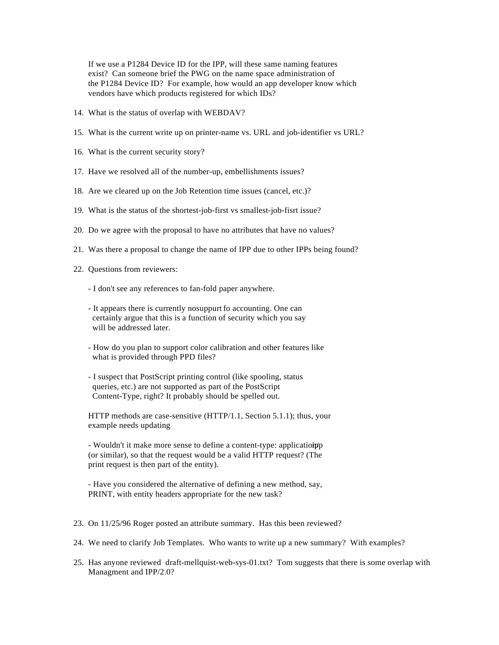If we use a P1284 Device ID for the IPP, will these same naming features exist? Can someone brief the PWG on the name space administration of the P1284 Device ID? For example, how would an app developer know which vendors have which products registered for which IDs?

- 14. What is the status of overlap with WEBDAV?
- 15. What is the current write up on printer-name vs. URL and job-identifier vs URL?
- 16. What is the current security story?
- 17. Have we resolved all of the number-up, embellishments issues?
- 18. Are we cleared up on the Job Retention time issues (cancel, etc.)?
- 19. What is the status of the shortest-job-first vs smallest-job-fisrt issue?
- 20. Do we agree with the proposal to have no attributes that have no values?
- 21. Was there a proposal to change the name of IPP due to other IPPs being found?
- 22. Questions from reviewers:
	- I don't see any references to fan-fold paper anywhere.
	- It appears there is currently no suppurt fo accounting. One can certainly argue that this is a function of security which you say will be addressed later.
	- How do you plan to support color calibration and other features like what is provided through PPD files?
	- I suspect that PostScript printing control (like spooling, status queries, etc.) are not supported as part of the PostScript Content-Type, right? It probably should be spelled out.

HTTP methods are case-sensitive (HTTP/1.1, Section 5.1.1); thus, your example needs updating

- Wouldn't it make more sense to define a content-type: application ippped in  $\mathbf{F}$ (or similar), so that the request would be a valid HTTP request? (The print request is then part of the entity).

- Have you considered the alternative of defining a new method, say, PRINT, with entity headers appropriate for the new task?

- 23. On 11/25/96 Roger posted an attribute summary. Has this been reviewed?
- 24. We need to clarify Job Templates. Who wants to write up a new summary? With examples?
- 25. Has anyone reviewed draft-mellquist-web-sys-01.txt? Tom suggests that there is some overlap with Managment and IPP/2.0?